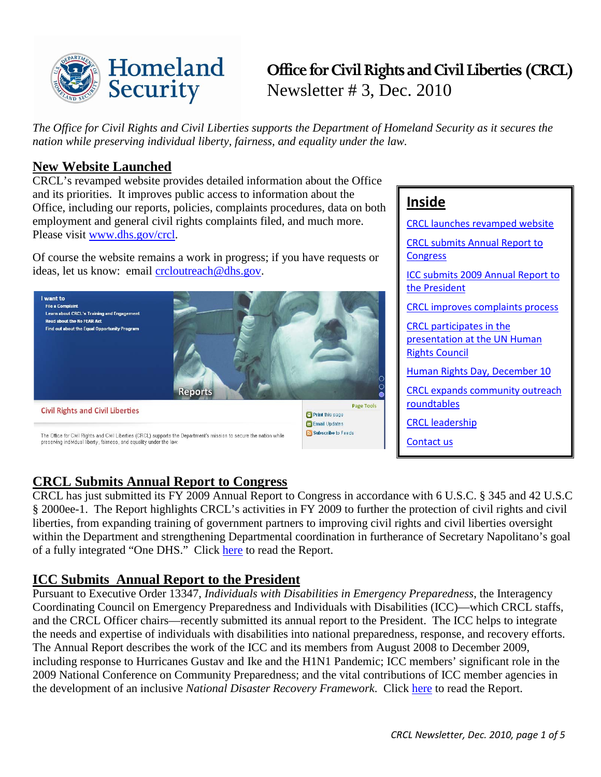

# **Office for Civil Rights and Civil Liberties (CRCL)**  Newsletter # 3, Dec. 2010

 *The Office for Civil Rights and Civil Liberties supports the Department of Homeland Security as it secures the nation while preserving individual liberty, fairness, and equality under the law.* 

## <span id="page-0-0"></span>**New Website Launched**

CRCL's revamped website provides detailed information about the Office and its priorities. It improves public access to information about the Office, including our reports, policies, complaints procedures, data on both employment and general civil rights complaints filed, and much more. Please visit [www.dhs.gov/crcl.](http://www.dhs.gov/crcl)

Of course the website remains a work in progress; if you have requests or ideas, let us know: email [crcloutreach@dhs.gov.](mailto:crcloutreach@dhs.gov)



## **Inside**

[CRCL launches revamped website](#page-0-0)  [CRCL submits Annual Report to](#page-0-1)  **Congress** [ICC submits 2009 Annual Report to](#page-0-2)  [the President](#page-0-2)  [CRCL improves complaints process](#page-1-0)  [CRCL participates in the](#page-1-1)  [presentation at the UN Human](#page-1-1)  [Rights Council](#page-1-1)  [Human Rights Day, December 10](#page-1-2)  [CRCL expands community outreach](#page-2-0)  [roundtables](#page-2-0)  [CRCL leadership](#page-2-1)  [Contact us](#page-3-0) 

## <span id="page-0-1"></span>**CRCL Submits Annual Report to Congress**

CRCL has just submitted its FY 2009 Annual Report to Congress in accordance with 6 U.S.C. § 345 and 42 U.S.C § 2000ee-1. The Report highlights CRCL's activities in FY 2009 to further the protection of civil rights and civil liberties, from expanding training of government partners to improving civil rights and civil liberties oversight within the Department and strengthening Departmental coordination in furtherance of Secretary Napolitano's goal of a fully integrated "One DHS." Click [here](http://www.dhs.gov/xabout/structure/gc_1266873528670.shtm#0) to read the Report.

## <span id="page-0-2"></span>**ICC Submits Annual Report to the President**

 The Annual Report describes the work of the ICC and its members from August 2008 to December 2009, Pursuant to Executive Order 13347, *Individuals with Disabilities in Emergency Preparedness*, the Interagency Coordinating Council on Emergency Preparedness and Individuals with Disabilities (ICC)—which CRCL staffs, and the CRCL Officer chairs—recently submitted its annual report to the President. The ICC helps to integrate the needs and expertise of individuals with disabilities into national preparedness, response, and recovery efforts. including response to Hurricanes Gustav and Ike and the H1N1 Pandemic; ICC members' significant role in the 2009 National Conference on Community Preparedness; and the vital contributions of ICC member agencies in the development of an inclusive *National Disaster Recovery Framework*. Click [here](http://www.disabilitypreparedness.gov/reports/dec_09.pdf) to read the Report.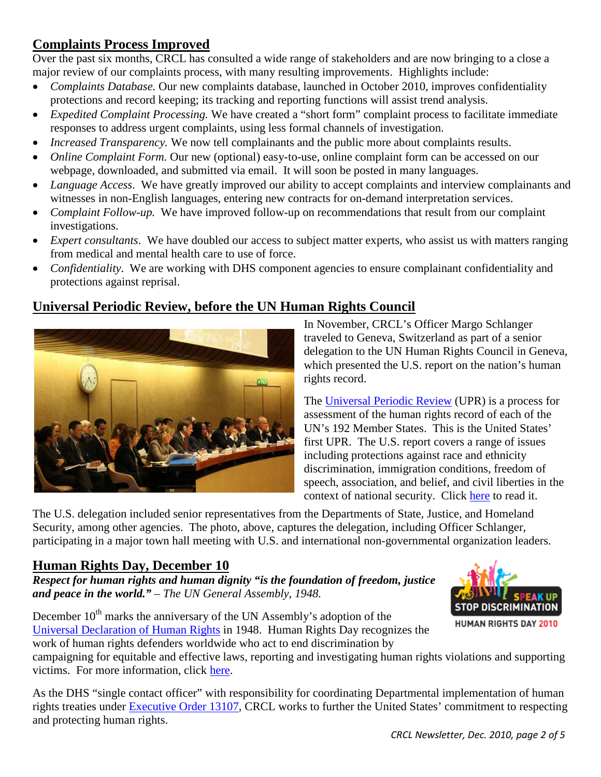## <span id="page-1-0"></span> **Complaints Process Improved**

Over the past six months, CRCL has consulted a wide range of stakeholders and are now bringing to a close a major review of our complaints process, with many resulting improvements. Highlights include:

- *Complaints Database*. Our new complaints database, launched in October 2010, improves confidentiality protections and record keeping; its tracking and reporting functions will assist trend analysis.
- *Expedited Complaint Processing.* We have created a "short form" complaint process to facilitate immediate responses to address urgent complaints, using less formal channels of investigation.
- *Increased Transparency.* We now tell complainants and the public more about complaints results.
- *Online Complaint Form.* Our new (optional) easy-to-use, online complaint form can be accessed on our webpage, downloaded, and submitted via email. It will soon be posted in many languages.
- *Language Access*. We have greatly improved our ability to accept complaints and interview complainants and witnesses in non-English languages, entering new contracts for on-demand interpretation services.
- *Complaint Follow-up.* We have improved follow-up on recommendations that result from our complaint investigations.
- • *Expert consultants*. We have doubled our access to subject matter experts, who assist us with matters ranging from medical and mental health care to use of force.
- • *Confidentiality*. We are working with DHS component agencies to ensure complainant confidentiality and protections against reprisal.

## <span id="page-1-1"></span>**Universal Periodic Review, before the UN Human Rights Council**



 traveled to Geneva, Switzerland as part of a senior In November, CRCL's Officer Margo Schlanger delegation to the UN Human Rights Council in Geneva, which presented the U.S. report on the nation's human rights record.

 speech, association, and belief, and civil liberties in the context of national security. Click [here](http://www.state.gov/g/drl/upr/index.htm) to read it. The [Universal Periodic Review](http://www.ohchr.org/EN/HRBodies/UPR/Pages/BasicFacts.aspx) (UPR) is a process for assessment of the human rights record of each of the UN's 192 Member States. This is the United States' first UPR. The U.S. report covers a range of issues including protections against race and ethnicity discrimination, immigration conditions, freedom of

The U.S. delegation included senior representatives from the Departments of State, Justice, and Homeland Security, among other agencies. The photo, above, captures the delegation, including Officer Schlanger, participating in a major town hall meeting with U.S. and international non-governmental organization leaders.

### <span id="page-1-2"></span>**Human Rights Day, December 10**

*Respect for human rights and human dignity "is the foundation of freedom, justice and peace in the world." – The UN General Assembly, 1948.* 





**HUMAN RIGHTS DAY 2010** 

campaigning for equitable and effective laws, reporting and investigating human rights violations and supporting victims. For more information, click [here.](http://www.un.org/en/events/humanrightsday/2010/index.shtml)

As the DHS "single contact officer" with responsibility for coordinating Departmental implementation of human rights treaties under [Executive Order 13107,](http://frwebgate.access.gpo.gov/cgi-bin/getdoc.cgi?dbname=1998_register&docid=fr15de98-110.pdf) CRCL works to further the United States' commitment to respecting and protecting human rights.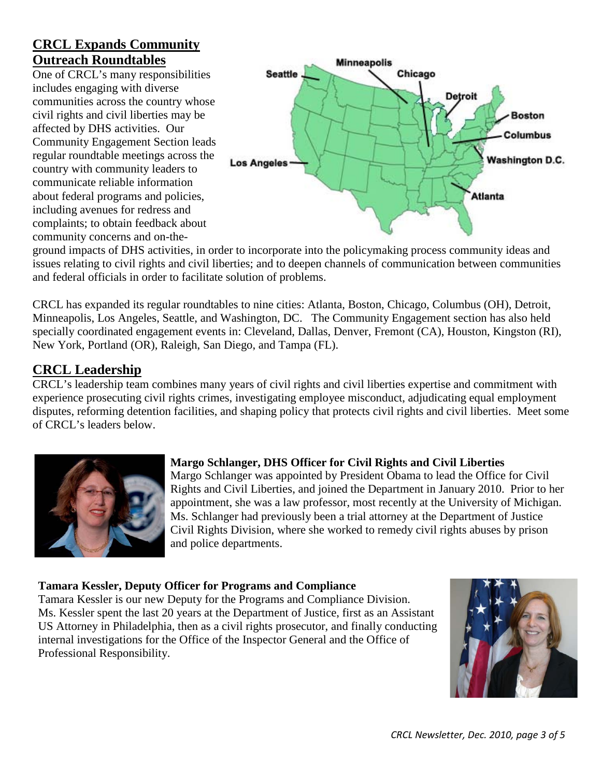## <span id="page-2-0"></span> **Outreach Roundtables CRCL Expands Community**

 affected by DHS activities. Our country with community leaders to One of CRCL's many responsibilities includes engaging with diverse communities across the country whose civil rights and civil liberties may be Community Engagement Section leads regular roundtable meetings across the communicate reliable information about federal programs and policies, including avenues for redress and complaints; to obtain feedback about community concerns and on-the-



ground impacts of DHS activities, in order to incorporate into the policymaking process community ideas and issues relating to civil rights and civil liberties; and to deepen channels of communication between communities and federal officials in order to facilitate solution of problems.

 New York, Portland (OR), Raleigh, San Diego, and Tampa (FL). CRCL has expanded its regular roundtables to nine cities: Atlanta, Boston, Chicago, Columbus (OH), Detroit, Minneapolis, Los Angeles, Seattle, and Washington, DC. The Community Engagement section has also held specially coordinated engagement events in: Cleveland, Dallas, Denver, Fremont (CA), Houston, Kingston (RI),

## <span id="page-2-1"></span>**CRCL Leadership**

 CRCL's leadership team combines many years of civil rights and civil liberties expertise and commitment with experience prosecuting civil rights crimes, investigating employee misconduct, adjudicating equal employment disputes, reforming detention facilities, and shaping policy that protects civil rights and civil liberties. Meet some of CRCL's leaders below.



### **Margo Schlanger, DHS Officer for Civil Rights and Civil Liberties**

 Ms. Schlanger had previously been a trial attorney at the Department of Justice Margo Schlanger was appointed by President Obama to lead the Office for Civil Rights and Civil Liberties, and joined the Department in January 2010. Prior to her appointment, she was a law professor, most recently at the University of Michigan. Civil Rights Division, where she worked to remedy civil rights abuses by prison and police departments.

#### **Tamara Kessler, Deputy Officer for Programs and Compliance**

Tamara Kessler is our new Deputy for the Programs and Compliance Division. Ms. Kessler spent the last 20 years at the Department of Justice, first as an Assistant US Attorney in Philadelphia, then as a civil rights prosecutor, and finally conducting internal investigations for the Office of the Inspector General and the Office of Professional Responsibility.

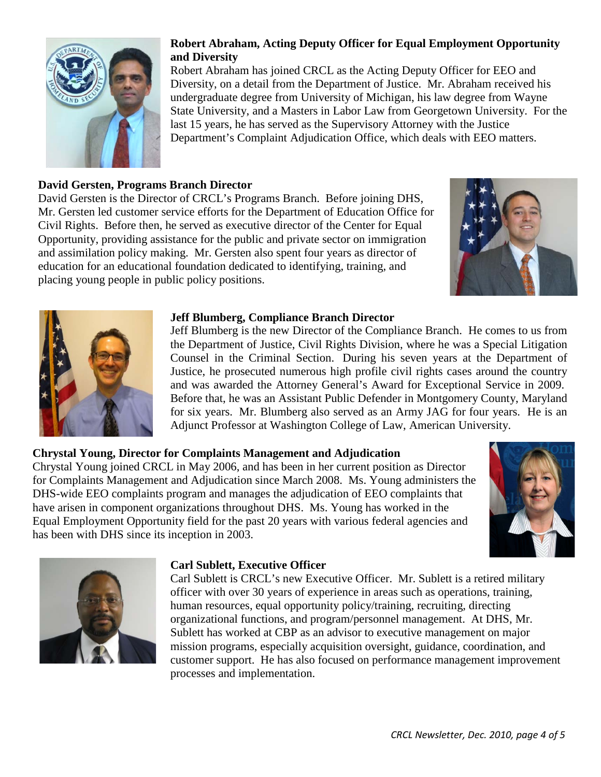

#### **Robert Abraham, Acting Deputy Officer for Equal Employment Opportunity and Diversity**

 Robert Abraham has joined CRCL as the Acting Deputy Officer for EEO and Department's Complaint Adjudication Office, which deals with EEO matters. Diversity, on a detail from the Department of Justice. Mr. Abraham received his undergraduate degree from University of Michigan, his law degree from Wayne State University, and a Masters in Labor Law from Georgetown University. For the last 15 years, he has served as the Supervisory Attorney with the Justice

#### **David Gersten, Programs Branch Director**

David Gersten is the Director of CRCL's Programs Branch. Before joining DHS, Mr. Gersten led customer service efforts for the Department of Education Office for Civil Rights. Before then, he served as executive director of the Center for Equal Opportunity, providing assistance for the public and private sector on immigration and assimilation policy making. Mr. Gersten also spent four years as director of education for an educational foundation dedicated to identifying, training, and placing young people in public policy positions.





#### **Jeff Blumberg, Compliance Branch Director**

 Counsel in the Criminal Section. During his seven years at the Department of and was awarded the Attorney General's Award for Exceptional Service in 2009. for six years. Mr. Blumberg also served as an Army JAG for four years. He is an Jeff Blumberg is the new Director of the Compliance Branch. He comes to us from the Department of Justice, Civil Rights Division, where he was a Special Litigation Justice, he prosecuted numerous high profile civil rights cases around the country Before that, he was an Assistant Public Defender in Montgomery County, Maryland Adjunct Professor at Washington College of Law, American University.

#### **Chrystal Young, Director for Complaints Management and Adjudication**

 Equal Employment Opportunity field for the past 20 years with various federal agencies and Chrystal Young joined CRCL in May 2006, and has been in her current position as Director for Complaints Management and Adjudication since March 2008. Ms. Young administers the DHS-wide EEO complaints program and manages the adjudication of EEO complaints that have arisen in component organizations throughout DHS. Ms. Young has worked in the has been with DHS since its inception in 2003.



<span id="page-3-0"></span>

#### **Carl Sublett, Executive Officer**

Carl Sublett is CRCL's new Executive Officer. Mr. Sublett is a retired military officer with over 30 years of experience in areas such as operations, training, human resources, equal opportunity policy/training, recruiting, directing organizational functions, and program/personnel management. At DHS, Mr. Sublett has worked at CBP as an advisor to executive management on major mission programs, especially acquisition oversight, guidance, coordination, and customer support. He has also focused on performance management improvement processes and implementation.